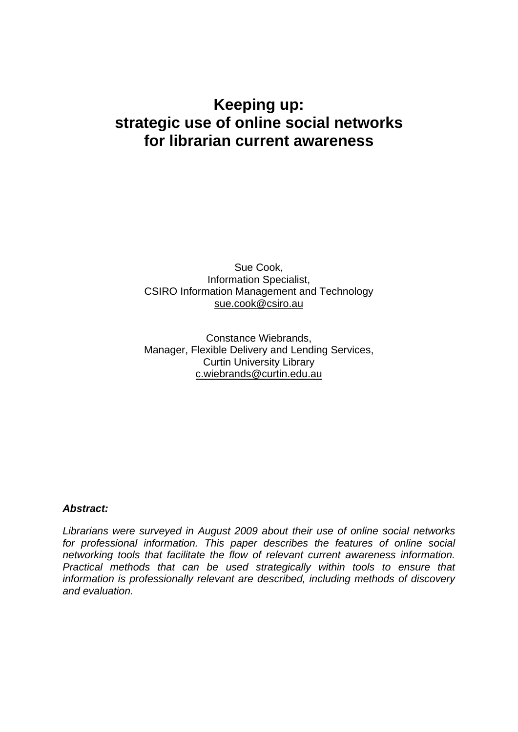# **Keeping up: strategic use of online social networks for librarian current awareness**

Sue Cook, Information Specialist, CSIRO Information Management and Technology sue.cook@csiro.au

Constance Wiebrands, Manager, Flexible Delivery and Lending Services, Curtin University Library c.wiebrands@curtin.edu.au

#### *Abstract:*

*Librarians were surveyed in August 2009 about their use of online social networks for professional information. This paper describes the features of online social networking tools that facilitate the flow of relevant current awareness information. Practical methods that can be used strategically within tools to ensure that information is professionally relevant are described, including methods of discovery and evaluation.*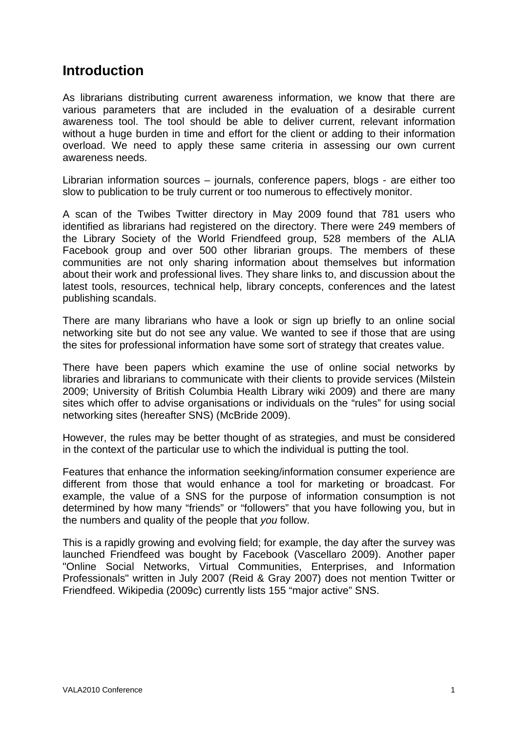# **Introduction**

As librarians distributing current awareness information, we know that there are various parameters that are included in the evaluation of a desirable current awareness tool. The tool should be able to deliver current, relevant information without a huge burden in time and effort for the client or adding to their information overload. We need to apply these same criteria in assessing our own current awareness needs.

Librarian information sources – journals, conference papers, blogs - are either too slow to publication to be truly current or too numerous to effectively monitor.

A scan of the Twibes Twitter directory in May 2009 found that 781 users who identified as librarians had registered on the directory. There were 249 members of the Library Society of the World Friendfeed group, 528 members of the ALIA Facebook group and over 500 other librarian groups. The members of these communities are not only sharing information about themselves but information about their work and professional lives. They share links to, and discussion about the latest tools, resources, technical help, library concepts, conferences and the latest publishing scandals.

There are many librarians who have a look or sign up briefly to an online social networking site but do not see any value. We wanted to see if those that are using the sites for professional information have some sort of strategy that creates value.

There have been papers which examine the use of online social networks by libraries and librarians to communicate with their clients to provide services (Milstein 2009; University of British Columbia Health Library wiki 2009) and there are many sites which offer to advise organisations or individuals on the "rules" for using social networking sites (hereafter SNS) (McBride 2009).

However, the rules may be better thought of as strategies, and must be considered in the context of the particular use to which the individual is putting the tool.

Features that enhance the information seeking/information consumer experience are different from those that would enhance a tool for marketing or broadcast. For example, the value of a SNS for the purpose of information consumption is not determined by how many "friends" or "followers" that you have following you, but in the numbers and quality of the people that *you* follow.

This is a rapidly growing and evolving field; for example, the day after the survey was launched Friendfeed was bought by Facebook (Vascellaro 2009). Another paper "Online Social Networks, Virtual Communities, Enterprises, and Information Professionals" written in July 2007 (Reid & Gray 2007) does not mention Twitter or Friendfeed. Wikipedia (2009c) currently lists 155 "major active" SNS.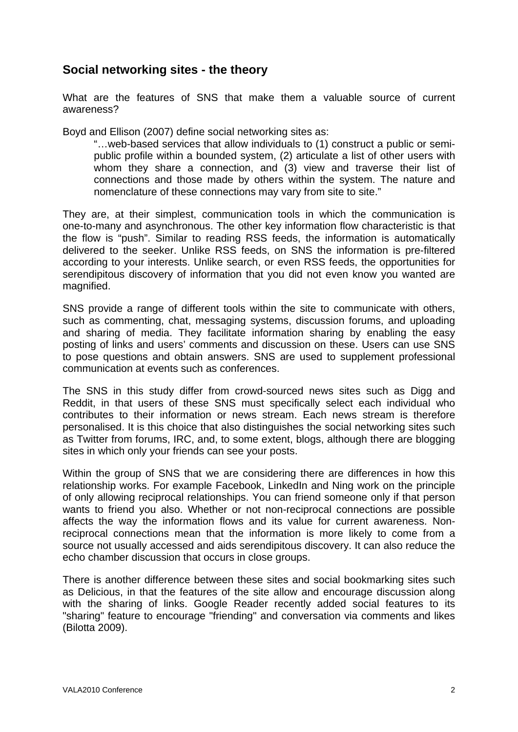### **Social networking sites - the theory**

What are the features of SNS that make them a valuable source of current awareness?

Boyd and Ellison (2007) define social networking sites as:

"…web-based services that allow individuals to (1) construct a public or semipublic profile within a bounded system, (2) articulate a list of other users with whom they share a connection, and (3) view and traverse their list of connections and those made by others within the system. The nature and nomenclature of these connections may vary from site to site."

They are, at their simplest, communication tools in which the communication is one-to-many and asynchronous. The other key information flow characteristic is that the flow is "push". Similar to reading RSS feeds, the information is automatically delivered to the seeker. Unlike RSS feeds, on SNS the information is pre-filtered according to your interests. Unlike search, or even RSS feeds, the opportunities for serendipitous discovery of information that you did not even know you wanted are magnified.

SNS provide a range of different tools within the site to communicate with others, such as commenting, chat, messaging systems, discussion forums, and uploading and sharing of media. They facilitate information sharing by enabling the easy posting of links and users' comments and discussion on these. Users can use SNS to pose questions and obtain answers. SNS are used to supplement professional communication at events such as conferences.

The SNS in this study differ from crowd-sourced news sites such as Digg and Reddit, in that users of these SNS must specifically select each individual who contributes to their information or news stream. Each news stream is therefore personalised. It is this choice that also distinguishes the social networking sites such as Twitter from forums, IRC, and, to some extent, blogs, although there are blogging sites in which only your friends can see your posts.

Within the group of SNS that we are considering there are differences in how this relationship works. For example Facebook, LinkedIn and Ning work on the principle of only allowing reciprocal relationships. You can friend someone only if that person wants to friend you also. Whether or not non-reciprocal connections are possible affects the way the information flows and its value for current awareness. Nonreciprocal connections mean that the information is more likely to come from a source not usually accessed and aids serendipitous discovery. It can also reduce the echo chamber discussion that occurs in close groups.

There is another difference between these sites and social bookmarking sites such as Delicious, in that the features of the site allow and encourage discussion along with the sharing of links. Google Reader recently added social features to its "sharing" feature to encourage "friending" and conversation via comments and likes (Bilotta 2009).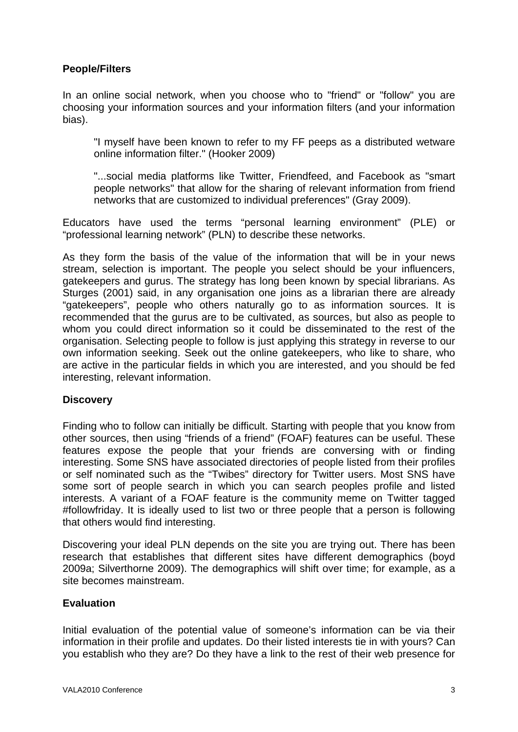### **People/Filters**

In an online social network, when you choose who to "friend" or "follow" you are choosing your information sources and your information filters (and your information bias).

"I myself have been known to refer to my FF peeps as a distributed wetware online information filter." (Hooker 2009)

"...social media platforms like Twitter, Friendfeed, and Facebook as "smart people networks" that allow for the sharing of relevant information from friend networks that are customized to individual preferences" (Gray 2009).

Educators have used the terms "personal learning environment" (PLE) or "professional learning network" (PLN) to describe these networks.

As they form the basis of the value of the information that will be in your news stream, selection is important. The people you select should be your influencers, gatekeepers and gurus. The strategy has long been known by special librarians. As Sturges (2001) said, in any organisation one joins as a librarian there are already "gatekeepers", people who others naturally go to as information sources. It is recommended that the gurus are to be cultivated, as sources, but also as people to whom you could direct information so it could be disseminated to the rest of the organisation. Selecting people to follow is just applying this strategy in reverse to our own information seeking. Seek out the online gatekeepers, who like to share, who are active in the particular fields in which you are interested, and you should be fed interesting, relevant information.

#### **Discovery**

Finding who to follow can initially be difficult. Starting with people that you know from other sources, then using "friends of a friend" (FOAF) features can be useful. These features expose the people that your friends are conversing with or finding interesting. Some SNS have associated directories of people listed from their profiles or self nominated such as the "Twibes" directory for Twitter users. Most SNS have some sort of people search in which you can search peoples profile and listed interests. A variant of a FOAF feature is the community meme on Twitter tagged #followfriday. It is ideally used to list two or three people that a person is following that others would find interesting.

Discovering your ideal PLN depends on the site you are trying out. There has been research that establishes that different sites have different demographics (boyd 2009a; Silverthorne 2009). The demographics will shift over time; for example, as a site becomes mainstream.

#### **Evaluation**

Initial evaluation of the potential value of someone's information can be via their information in their profile and updates. Do their listed interests tie in with yours? Can you establish who they are? Do they have a link to the rest of their web presence for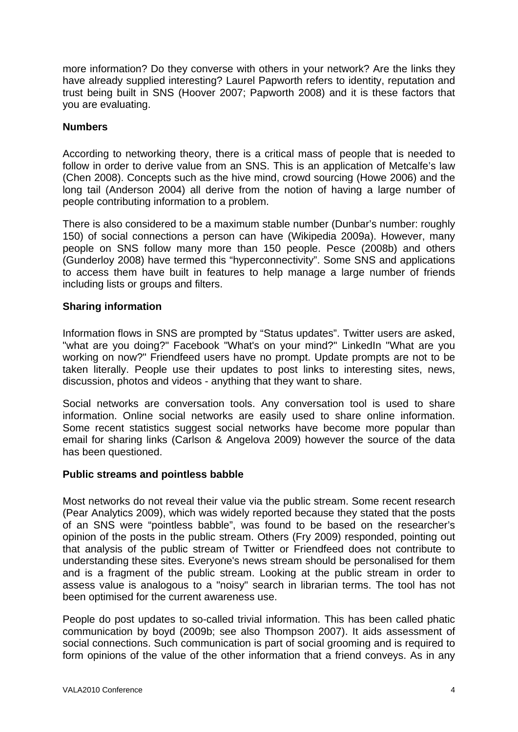more information? Do they converse with others in your network? Are the links they have already supplied interesting? Laurel Papworth refers to identity, reputation and trust being built in SNS (Hoover 2007; Papworth 2008) and it is these factors that you are evaluating.

#### **Numbers**

According to networking theory, there is a critical mass of people that is needed to follow in order to derive value from an SNS. This is an application of Metcalfe's law (Chen 2008). Concepts such as the hive mind, crowd sourcing (Howe 2006) and the long tail (Anderson 2004) all derive from the notion of having a large number of people contributing information to a problem.

There is also considered to be a maximum stable number (Dunbar's number: roughly 150) of social connections a person can have (Wikipedia 2009a). However, many people on SNS follow many more than 150 people. Pesce (2008b) and others (Gunderloy 2008) have termed this "hyperconnectivity". Some SNS and applications to access them have built in features to help manage a large number of friends including lists or groups and filters.

#### **Sharing information**

Information flows in SNS are prompted by "Status updates". Twitter users are asked, "what are you doing?" Facebook "What's on your mind?" LinkedIn "What are you working on now?" Friendfeed users have no prompt. Update prompts are not to be taken literally. People use their updates to post links to interesting sites, news, discussion, photos and videos - anything that they want to share.

Social networks are conversation tools. Any conversation tool is used to share information. Online social networks are easily used to share online information. Some recent statistics suggest social networks have become more popular than email for sharing links (Carlson & Angelova 2009) however the source of the data has been questioned.

#### **Public streams and pointless babble**

Most networks do not reveal their value via the public stream. Some recent research (Pear Analytics 2009), which was widely reported because they stated that the posts of an SNS were "pointless babble", was found to be based on the researcher's opinion of the posts in the public stream. Others (Fry 2009) responded, pointing out that analysis of the public stream of Twitter or Friendfeed does not contribute to understanding these sites. Everyone's news stream should be personalised for them and is a fragment of the public stream. Looking at the public stream in order to assess value is analogous to a "noisy" search in librarian terms. The tool has not been optimised for the current awareness use.

People do post updates to so-called trivial information. This has been called phatic communication by boyd (2009b; see also Thompson 2007). It aids assessment of social connections. Such communication is part of social grooming and is required to form opinions of the value of the other information that a friend conveys. As in any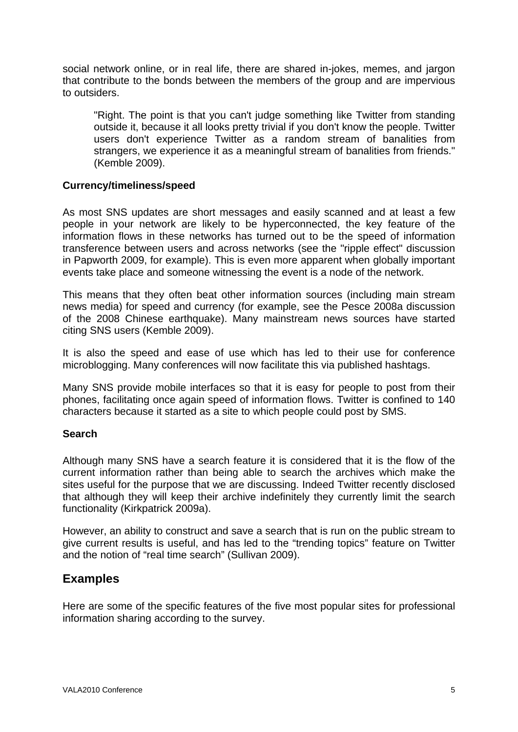social network online, or in real life, there are shared in-jokes, memes, and jargon that contribute to the bonds between the members of the group and are impervious to outsiders.

"Right. The point is that you can't judge something like Twitter from standing outside it, because it all looks pretty trivial if you don't know the people. Twitter users don't experience Twitter as a random stream of banalities from strangers, we experience it as a meaningful stream of banalities from friends." (Kemble 2009).

#### **Currency/timeliness/speed**

As most SNS updates are short messages and easily scanned and at least a few people in your network are likely to be hyperconnected, the key feature of the information flows in these networks has turned out to be the speed of information transference between users and across networks (see the "ripple effect" discussion in Papworth 2009, for example). This is even more apparent when globally important events take place and someone witnessing the event is a node of the network.

This means that they often beat other information sources (including main stream news media) for speed and currency (for example, see the Pesce 2008a discussion of the 2008 Chinese earthquake). Many mainstream news sources have started citing SNS users (Kemble 2009).

It is also the speed and ease of use which has led to their use for conference microblogging. Many conferences will now facilitate this via published hashtags.

Many SNS provide mobile interfaces so that it is easy for people to post from their phones, facilitating once again speed of information flows. Twitter is confined to 140 characters because it started as a site to which people could post by SMS.

#### **Search**

Although many SNS have a search feature it is considered that it is the flow of the current information rather than being able to search the archives which make the sites useful for the purpose that we are discussing. Indeed Twitter recently disclosed that although they will keep their archive indefinitely they currently limit the search functionality (Kirkpatrick 2009a).

However, an ability to construct and save a search that is run on the public stream to give current results is useful, and has led to the "trending topics" feature on Twitter and the notion of "real time search" (Sullivan 2009).

### **Examples**

Here are some of the specific features of the five most popular sites for professional information sharing according to the survey.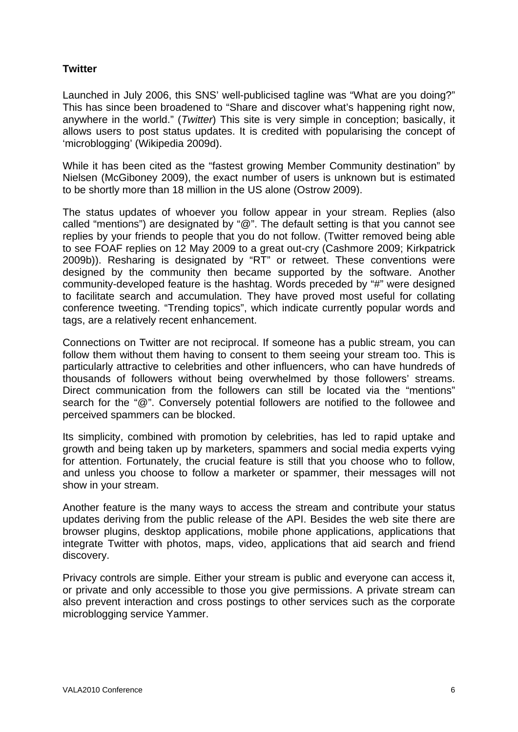#### **Twitter**

Launched in July 2006, this SNS' well-publicised tagline was "What are you doing?" This has since been broadened to "Share and discover what's happening right now, anywhere in the world." (*Twitter*) This site is very simple in conception; basically, it allows users to post status updates. It is credited with popularising the concept of 'microblogging' (Wikipedia 2009d).

While it has been cited as the "fastest growing Member Community destination" by Nielsen (McGiboney 2009), the exact number of users is unknown but is estimated to be shortly more than 18 million in the US alone (Ostrow 2009).

The status updates of whoever you follow appear in your stream. Replies (also called "mentions") are designated by "@". The default setting is that you cannot see replies by your friends to people that you do not follow. (Twitter removed being able to see FOAF replies on 12 May 2009 to a great out-cry (Cashmore 2009; Kirkpatrick 2009b)). Resharing is designated by "RT" or retweet. These conventions were designed by the community then became supported by the software. Another community-developed feature is the hashtag. Words preceded by "#" were designed to facilitate search and accumulation. They have proved most useful for collating conference tweeting. "Trending topics", which indicate currently popular words and tags, are a relatively recent enhancement.

Connections on Twitter are not reciprocal. If someone has a public stream, you can follow them without them having to consent to them seeing your stream too. This is particularly attractive to celebrities and other influencers, who can have hundreds of thousands of followers without being overwhelmed by those followers' streams. Direct communication from the followers can still be located via the "mentions" search for the "@". Conversely potential followers are notified to the followee and perceived spammers can be blocked.

Its simplicity, combined with promotion by celebrities, has led to rapid uptake and growth and being taken up by marketers, spammers and social media experts vying for attention. Fortunately, the crucial feature is still that you choose who to follow, and unless you choose to follow a marketer or spammer, their messages will not show in your stream.

Another feature is the many ways to access the stream and contribute your status updates deriving from the public release of the API. Besides the web site there are browser plugins, desktop applications, mobile phone applications, applications that integrate Twitter with photos, maps, video, applications that aid search and friend discovery.

Privacy controls are simple. Either your stream is public and everyone can access it, or private and only accessible to those you give permissions. A private stream can also prevent interaction and cross postings to other services such as the corporate microblogging service Yammer.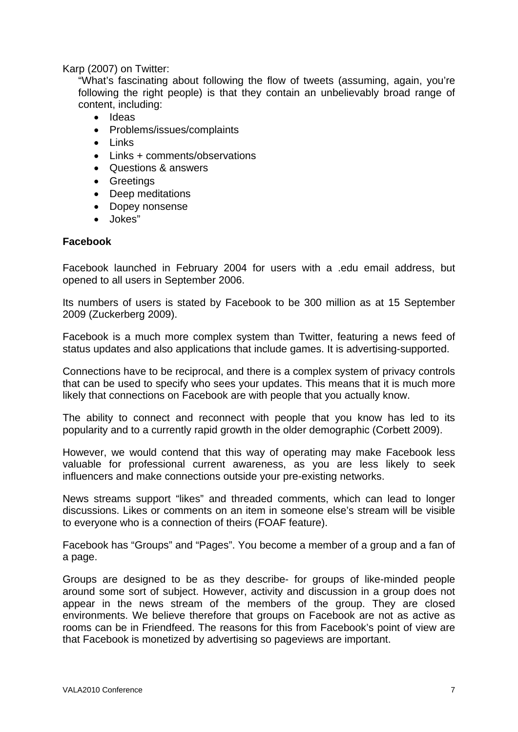Karp (2007) on Twitter:

"What's fascinating about following the flow of tweets (assuming, again, you're following the right people) is that they contain an unbelievably broad range of content, including:

- Ideas
- Problems/issues/complaints
- Links
- Links + comments/observations
- Questions & answers
- Greetings
- Deep meditations
- Dopey nonsense
- Jokes"

#### **Facebook**

Facebook launched in February 2004 for users with a .edu email address, but opened to all users in September 2006.

Its numbers of users is stated by Facebook to be 300 million as at 15 September 2009 (Zuckerberg 2009).

Facebook is a much more complex system than Twitter, featuring a news feed of status updates and also applications that include games. It is advertising-supported.

Connections have to be reciprocal, and there is a complex system of privacy controls that can be used to specify who sees your updates. This means that it is much more likely that connections on Facebook are with people that you actually know.

The ability to connect and reconnect with people that you know has led to its popularity and to a currently rapid growth in the older demographic (Corbett 2009).

However, we would contend that this way of operating may make Facebook less valuable for professional current awareness, as you are less likely to seek influencers and make connections outside your pre-existing networks.

News streams support "likes" and threaded comments, which can lead to longer discussions. Likes or comments on an item in someone else's stream will be visible to everyone who is a connection of theirs (FOAF feature).

Facebook has "Groups" and "Pages". You become a member of a group and a fan of a page.

Groups are designed to be as they describe- for groups of like-minded people around some sort of subject. However, activity and discussion in a group does not appear in the news stream of the members of the group. They are closed environments. We believe therefore that groups on Facebook are not as active as rooms can be in Friendfeed. The reasons for this from Facebook's point of view are that Facebook is monetized by advertising so pageviews are important.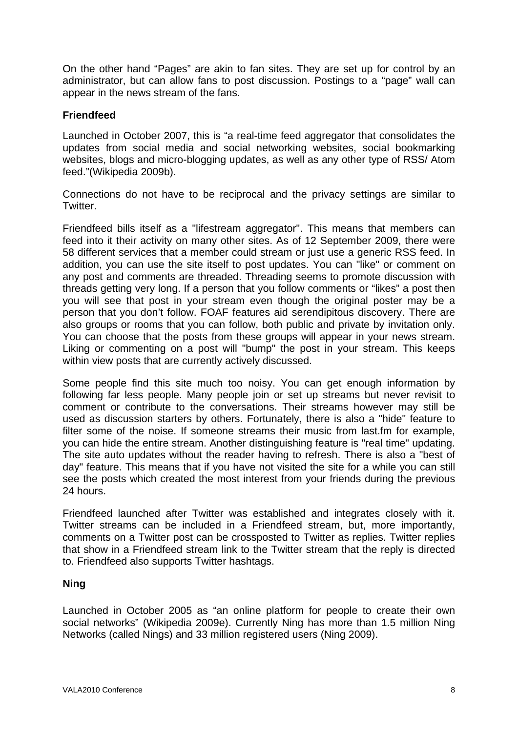On the other hand "Pages" are akin to fan sites. They are set up for control by an administrator, but can allow fans to post discussion. Postings to a "page" wall can appear in the news stream of the fans.

#### **Friendfeed**

Launched in October 2007, this is "a real-time feed aggregator that consolidates the updates from social media and social networking websites, social bookmarking websites, blogs and micro-blogging updates, as well as any other type of RSS/ Atom feed."(Wikipedia 2009b).

Connections do not have to be reciprocal and the privacy settings are similar to Twitter.

Friendfeed bills itself as a "lifestream aggregator". This means that members can feed into it their activity on many other sites. As of 12 September 2009, there were 58 different services that a member could stream or just use a generic RSS feed. In addition, you can use the site itself to post updates. You can "like" or comment on any post and comments are threaded. Threading seems to promote discussion with threads getting very long. If a person that you follow comments or "likes" a post then you will see that post in your stream even though the original poster may be a person that you don't follow. FOAF features aid serendipitous discovery. There are also groups or rooms that you can follow, both public and private by invitation only. You can choose that the posts from these groups will appear in your news stream. Liking or commenting on a post will "bump" the post in your stream. This keeps within view posts that are currently actively discussed.

Some people find this site much too noisy. You can get enough information by following far less people. Many people join or set up streams but never revisit to comment or contribute to the conversations. Their streams however may still be used as discussion starters by others. Fortunately, there is also a "hide" feature to filter some of the noise. If someone streams their music from last.fm for example, you can hide the entire stream. Another distinguishing feature is "real time" updating. The site auto updates without the reader having to refresh. There is also a "best of day" feature. This means that if you have not visited the site for a while you can still see the posts which created the most interest from your friends during the previous 24 hours.

Friendfeed launched after Twitter was established and integrates closely with it. Twitter streams can be included in a Friendfeed stream, but, more importantly, comments on a Twitter post can be crossposted to Twitter as replies. Twitter replies that show in a Friendfeed stream link to the Twitter stream that the reply is directed to. Friendfeed also supports Twitter hashtags.

#### **Ning**

Launched in October 2005 as "an online platform for people to create their own social networks" (Wikipedia 2009e). Currently Ning has more than 1.5 million Ning Networks (called Nings) and 33 million registered users (Ning 2009).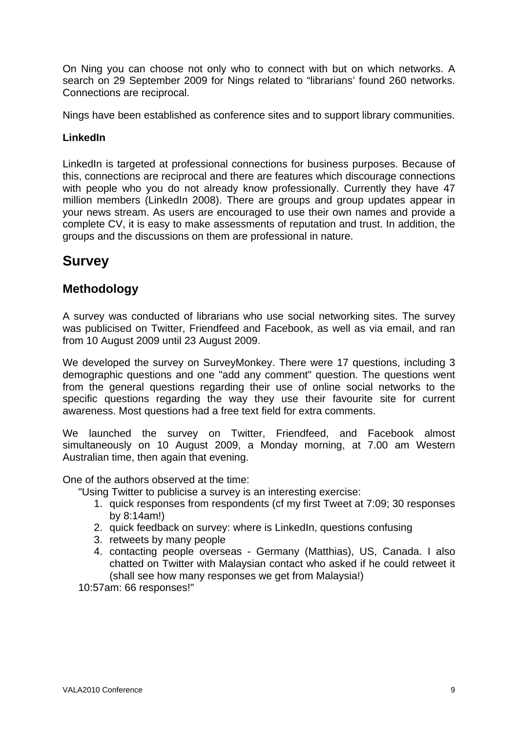On Ning you can choose not only who to connect with but on which networks. A search on 29 September 2009 for Nings related to "librarians' found 260 networks. Connections are reciprocal.

Nings have been established as conference sites and to support library communities.

#### **LinkedIn**

LinkedIn is targeted at professional connections for business purposes. Because of this, connections are reciprocal and there are features which discourage connections with people who you do not already know professionally. Currently they have 47 million members (LinkedIn 2008). There are groups and group updates appear in your news stream. As users are encouraged to use their own names and provide a complete CV, it is easy to make assessments of reputation and trust. In addition, the groups and the discussions on them are professional in nature.

# **Survey**

### **Methodology**

A survey was conducted of librarians who use social networking sites. The survey was publicised on Twitter, Friendfeed and Facebook, as well as via email, and ran from 10 August 2009 until 23 August 2009.

We developed the survey on SurveyMonkey. There were 17 questions, including 3 demographic questions and one "add any comment" question. The questions went from the general questions regarding their use of online social networks to the specific questions regarding the way they use their favourite site for current awareness. Most questions had a free text field for extra comments.

We launched the survey on Twitter, Friendfeed, and Facebook almost simultaneously on 10 August 2009, a Monday morning, at 7.00 am Western Australian time, then again that evening.

One of the authors observed at the time:

"Using Twitter to publicise a survey is an interesting exercise:

- 1. quick responses from respondents (cf my first Tweet at 7:09; 30 responses by 8:14am!)
- 2. quick feedback on survey: where is LinkedIn, questions confusing
- 3. retweets by many people
- 4. contacting people overseas Germany (Matthias), US, Canada. I also chatted on Twitter with Malaysian contact who asked if he could retweet it (shall see how many responses we get from Malaysia!)

10:57am: 66 responses!"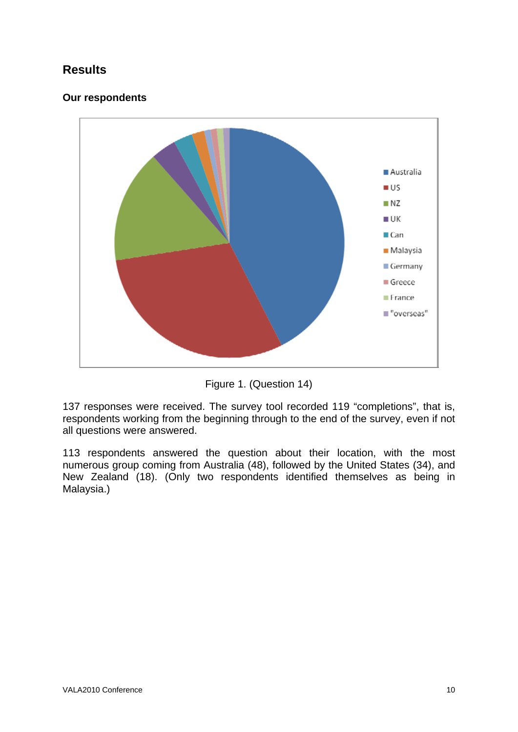# **Results**

### **Our respondents**



Figure 1. (Question 14)

137 responses were received. The survey tool recorded 119 "completions", that is, respondents working from the beginning through to the end of the survey, even if not all questions were answered.

113 respondents answered the question about their location, with the most numerous group coming from Australia (48), followed by the United States (34), and New Zealand (18). (Only two respondents identified themselves as being in Malaysia.)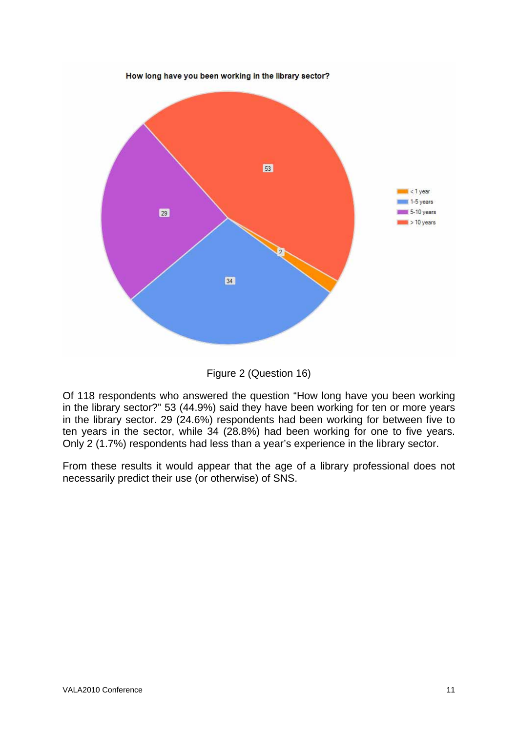

Figure 2 (Question 16)

Of 118 respondents who answered the question "How long have you been working in the library sector?" 53 (44.9%) said they have been working for ten or more years in the library sector. 29 (24.6%) respondents had been working for between five to ten years in the sector, while 34 (28.8%) had been working for one to five years. Only 2 (1.7%) respondents had less than a year's experience in the library sector.

From these results it would appear that the age of a library professional does not necessarily predict their use (or otherwise) of SNS.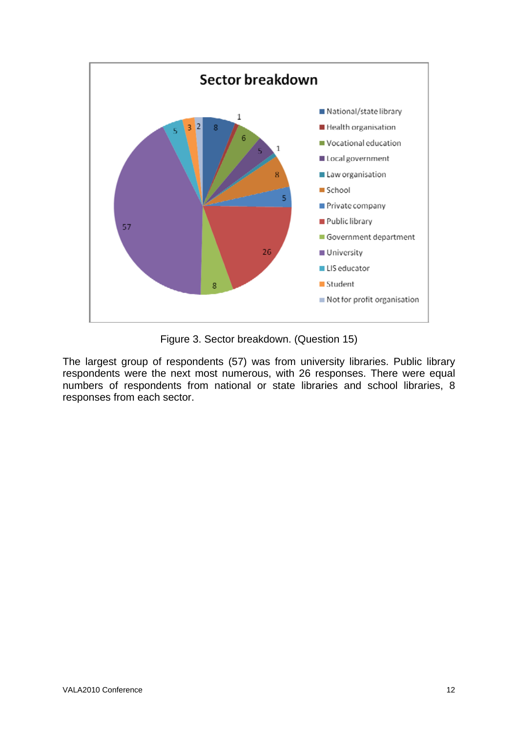

Figure 3. Sector breakdown. (Question 15)

The largest group of respondents (57) was from university libraries. Public library respondents were the next most numerous, with 26 responses. There were equal numbers of respondents from national or state libraries and school libraries, 8 responses from each sector.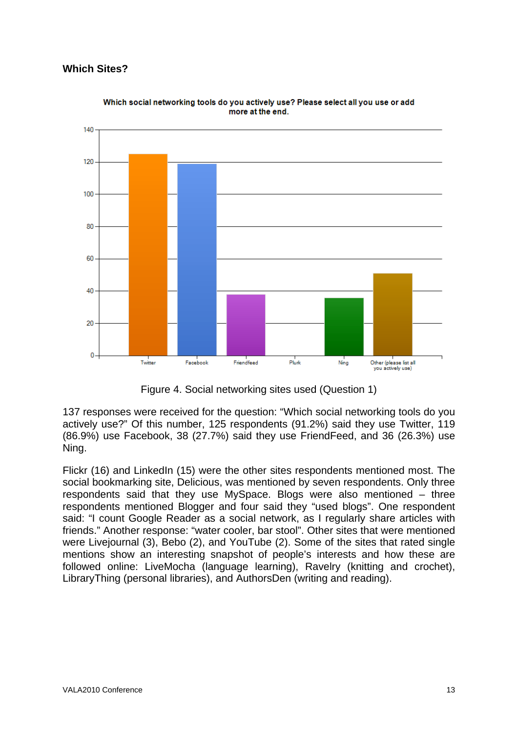### **Which Sites?**



Which social networking tools do you actively use? Please select all you use or add more at the end.

Figure 4. Social networking sites used (Question 1)

137 responses were received for the question: "Which social networking tools do you actively use?" Of this number, 125 respondents (91.2%) said they use Twitter, 119 (86.9%) use Facebook, 38 (27.7%) said they use FriendFeed, and 36 (26.3%) use Ning.

Flickr (16) and LinkedIn (15) were the other sites respondents mentioned most. The social bookmarking site, Delicious, was mentioned by seven respondents. Only three respondents said that they use MySpace. Blogs were also mentioned – three respondents mentioned Blogger and four said they "used blogs". One respondent said: "I count Google Reader as a social network, as I regularly share articles with friends." Another response: "water cooler, bar stool". Other sites that were mentioned were Livejournal (3), Bebo (2), and YouTube (2). Some of the sites that rated single mentions show an interesting snapshot of people's interests and how these are followed online: LiveMocha (language learning), Ravelry (knitting and crochet), LibraryThing (personal libraries), and AuthorsDen (writing and reading).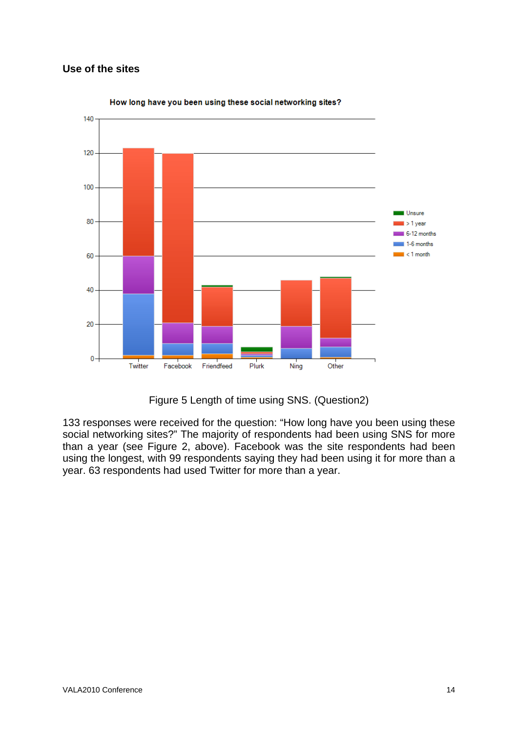### **Use of the sites**



How long have you been using these social networking sites?

Figure 5 Length of time using SNS. (Question2)

133 responses were received for the question: "How long have you been using these social networking sites?" The majority of respondents had been using SNS for more than a year (see Figure 2, above). Facebook was the site respondents had been using the longest, with 99 respondents saying they had been using it for more than a year. 63 respondents had used Twitter for more than a year.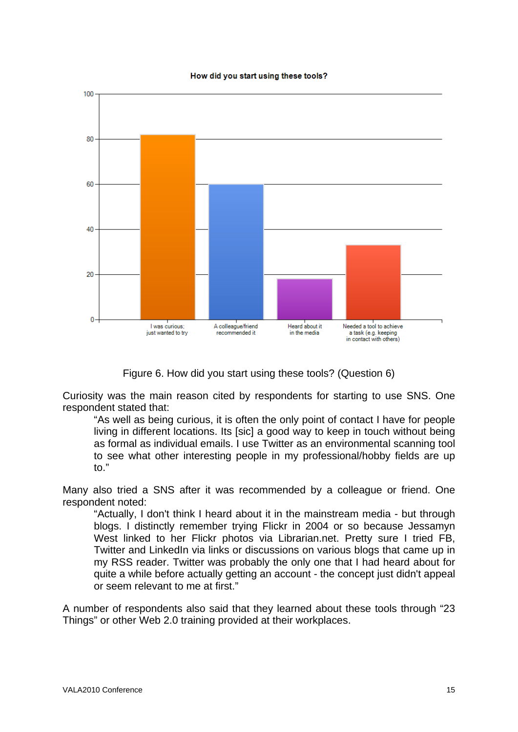#### How did you start using these tools?



Figure 6. How did you start using these tools? (Question 6)

Curiosity was the main reason cited by respondents for starting to use SNS. One respondent stated that:

"As well as being curious, it is often the only point of contact I have for people living in different locations. Its [sic] a good way to keep in touch without being as formal as individual emails. I use Twitter as an environmental scanning tool to see what other interesting people in my professional/hobby fields are up to."

Many also tried a SNS after it was recommended by a colleague or friend. One respondent noted:

"Actually, I don't think I heard about it in the mainstream media - but through blogs. I distinctly remember trying Flickr in 2004 or so because Jessamyn West linked to her Flickr photos via Librarian.net. Pretty sure I tried FB, Twitter and LinkedIn via links or discussions on various blogs that came up in my RSS reader. Twitter was probably the only one that I had heard about for quite a while before actually getting an account - the concept just didn't appeal or seem relevant to me at first."

A number of respondents also said that they learned about these tools through "23 Things" or other Web 2.0 training provided at their workplaces.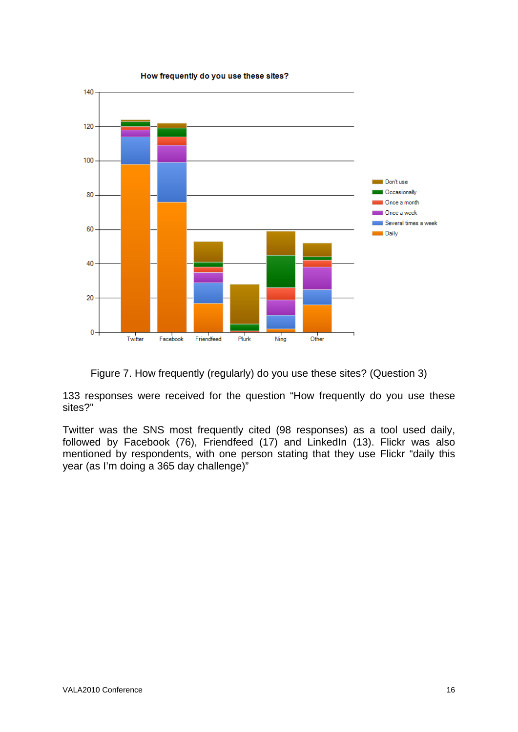

How frequently do you use these sites?

Figure 7. How frequently (regularly) do you use these sites? (Question 3)

133 responses were received for the question "How frequently do you use these sites?"

Twitter was the SNS most frequently cited (98 responses) as a tool used daily, followed by Facebook (76), Friendfeed (17) and LinkedIn (13). Flickr was also mentioned by respondents, with one person stating that they use Flickr "daily this year (as I'm doing a 365 day challenge)"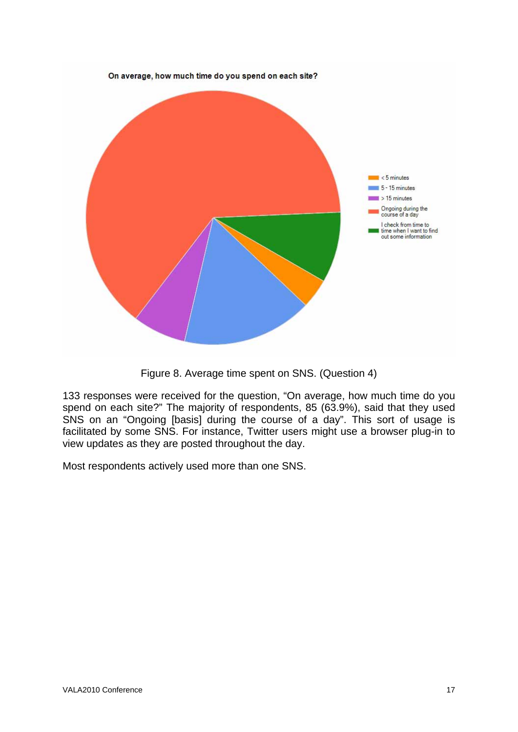

Figure 8. Average time spent on SNS. (Question 4)

133 responses were received for the question, "On average, how much time do you spend on each site?" The majority of respondents, 85 (63.9%), said that they used SNS on an "Ongoing [basis] during the course of a day". This sort of usage is facilitated by some SNS. For instance, Twitter users might use a browser plug-in to view updates as they are posted throughout the day.

Most respondents actively used more than one SNS.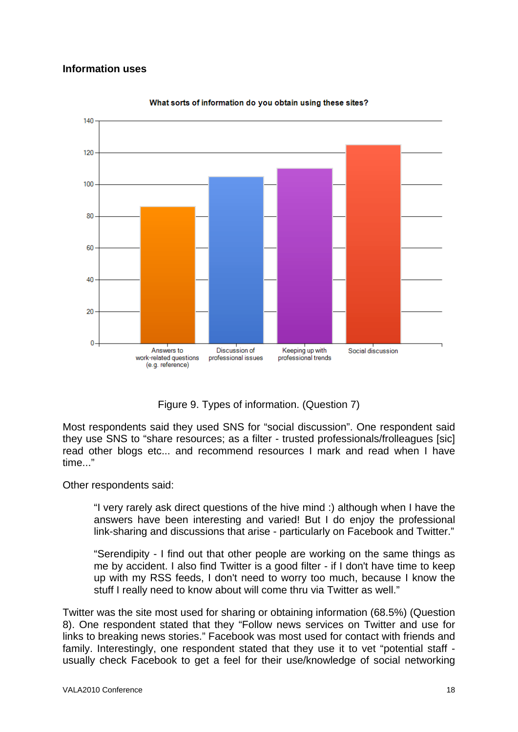#### **Information uses**



What sorts of information do you obtain using these sites?

Figure 9. Types of information. (Question 7)

Most respondents said they used SNS for "social discussion". One respondent said they use SNS to "share resources; as a filter - trusted professionals/frolleagues [sic] read other blogs etc... and recommend resources I mark and read when I have time..."

Other respondents said:

"I very rarely ask direct questions of the hive mind :) although when I have the answers have been interesting and varied! But I do enjoy the professional link-sharing and discussions that arise - particularly on Facebook and Twitter."

"Serendipity - I find out that other people are working on the same things as me by accident. I also find Twitter is a good filter - if I don't have time to keep up with my RSS feeds, I don't need to worry too much, because I know the stuff I really need to know about will come thru via Twitter as well."

Twitter was the site most used for sharing or obtaining information (68.5%) (Question 8). One respondent stated that they "Follow news services on Twitter and use for links to breaking news stories." Facebook was most used for contact with friends and family. Interestingly, one respondent stated that they use it to vet "potential staff usually check Facebook to get a feel for their use/knowledge of social networking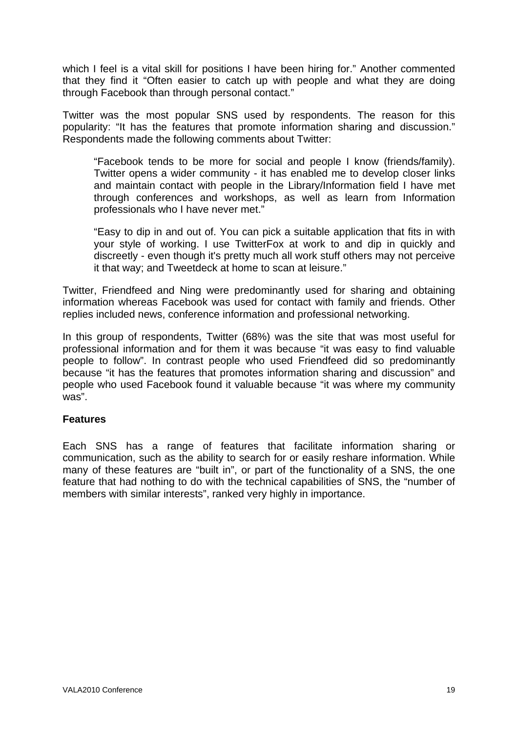which I feel is a vital skill for positions I have been hiring for." Another commented that they find it "Often easier to catch up with people and what they are doing through Facebook than through personal contact."

Twitter was the most popular SNS used by respondents. The reason for this popularity: "It has the features that promote information sharing and discussion." Respondents made the following comments about Twitter:

"Facebook tends to be more for social and people I know (friends/family). Twitter opens a wider community - it has enabled me to develop closer links and maintain contact with people in the Library/Information field I have met through conferences and workshops, as well as learn from Information professionals who I have never met."

"Easy to dip in and out of. You can pick a suitable application that fits in with your style of working. I use TwitterFox at work to and dip in quickly and discreetly - even though it's pretty much all work stuff others may not perceive it that way; and Tweetdeck at home to scan at leisure."

Twitter, Friendfeed and Ning were predominantly used for sharing and obtaining information whereas Facebook was used for contact with family and friends. Other replies included news, conference information and professional networking.

In this group of respondents, Twitter (68%) was the site that was most useful for professional information and for them it was because "it was easy to find valuable people to follow". In contrast people who used Friendfeed did so predominantly because "it has the features that promotes information sharing and discussion" and people who used Facebook found it valuable because "it was where my community was".

#### **Features**

Each SNS has a range of features that facilitate information sharing or communication, such as the ability to search for or easily reshare information. While many of these features are "built in", or part of the functionality of a SNS, the one feature that had nothing to do with the technical capabilities of SNS, the "number of members with similar interests", ranked very highly in importance.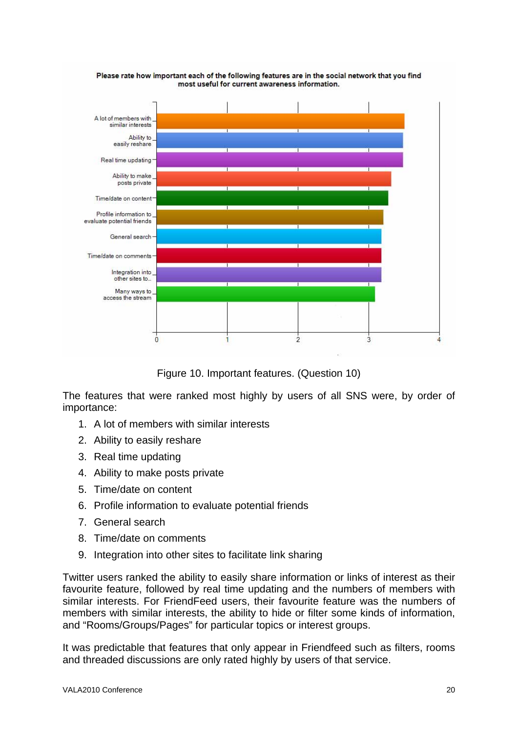

Please rate how important each of the following features are in the social network that you find most useful for current awareness information.

Figure 10. Important features. (Question 10)

The features that were ranked most highly by users of all SNS were, by order of importance:

- 1. A lot of members with similar interests
- 2. Ability to easily reshare
- 3. Real time updating
- 4. Ability to make posts private
- 5. Time/date on content
- 6. Profile information to evaluate potential friends
- 7. General search
- 8. Time/date on comments
- 9. Integration into other sites to facilitate link sharing

Twitter users ranked the ability to easily share information or links of interest as their favourite feature, followed by real time updating and the numbers of members with similar interests. For FriendFeed users, their favourite feature was the numbers of members with similar interests, the ability to hide or filter some kinds of information, and "Rooms/Groups/Pages" for particular topics or interest groups.

It was predictable that features that only appear in Friendfeed such as filters, rooms and threaded discussions are only rated highly by users of that service.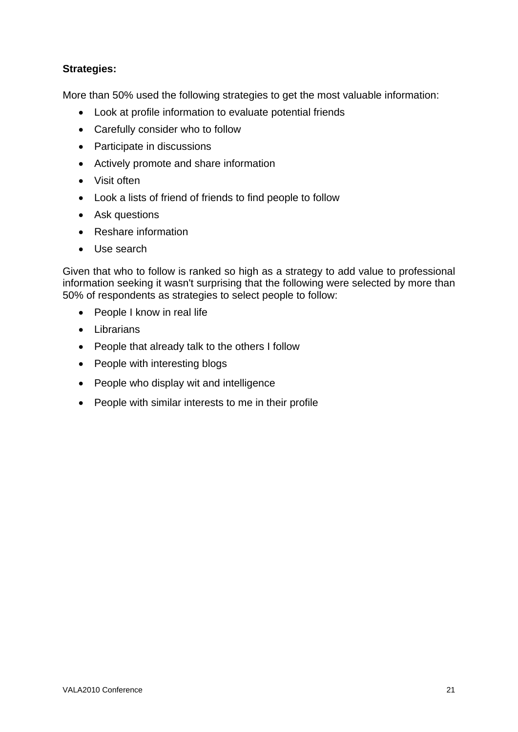### **Strategies:**

More than 50% used the following strategies to get the most valuable information:

- Look at profile information to evaluate potential friends
- Carefully consider who to follow
- Participate in discussions
- Actively promote and share information
- Visit often
- Look a lists of friend of friends to find people to follow
- Ask questions
- Reshare information
- Use search

Given that who to follow is ranked so high as a strategy to add value to professional information seeking it wasn't surprising that the following were selected by more than 50% of respondents as strategies to select people to follow:

- People I know in real life
- Librarians
- People that already talk to the others I follow
- People with interesting blogs
- People who display wit and intelligence
- People with similar interests to me in their profile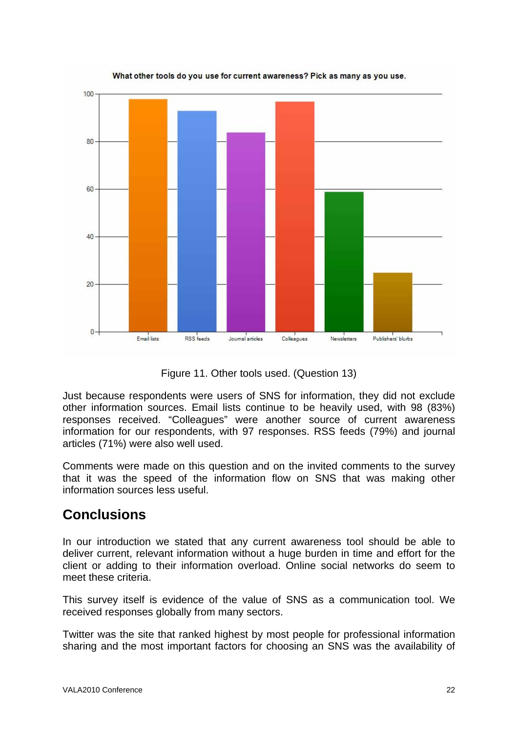

What other tools do you use for current awareness? Pick as many as you use.

Figure 11. Other tools used. (Question 13)

Just because respondents were users of SNS for information, they did not exclude other information sources. Email lists continue to be heavily used, with 98 (83%) responses received. "Colleagues" were another source of current awareness information for our respondents, with 97 responses. RSS feeds (79%) and journal articles (71%) were also well used.

Comments were made on this question and on the invited comments to the survey that it was the speed of the information flow on SNS that was making other information sources less useful.

# **Conclusions**

In our introduction we stated that any current awareness tool should be able to deliver current, relevant information without a huge burden in time and effort for the client or adding to their information overload. Online social networks do seem to meet these criteria.

This survey itself is evidence of the value of SNS as a communication tool. We received responses globally from many sectors.

Twitter was the site that ranked highest by most people for professional information sharing and the most important factors for choosing an SNS was the availability of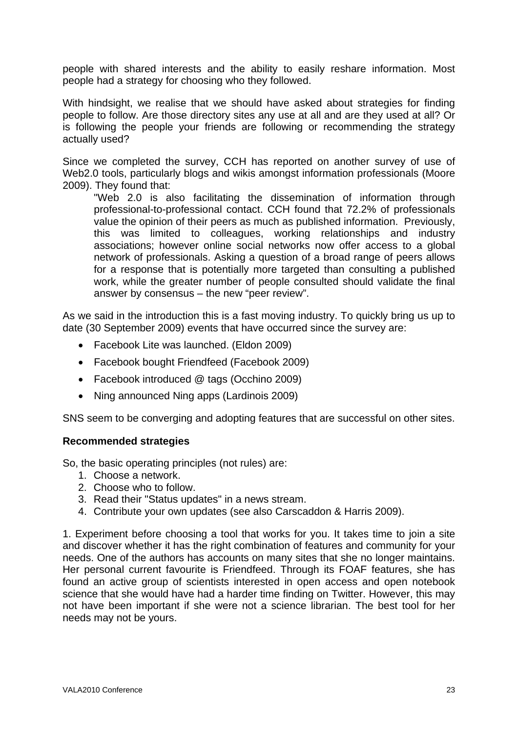people with shared interests and the ability to easily reshare information. Most people had a strategy for choosing who they followed.

With hindsight, we realise that we should have asked about strategies for finding people to follow. Are those directory sites any use at all and are they used at all? Or is following the people your friends are following or recommending the strategy actually used?

Since we completed the survey, CCH has reported on another survey of use of Web2.0 tools, particularly blogs and wikis amongst information professionals (Moore 2009). They found that:

"Web 2.0 is also facilitating the dissemination of information through professional-to-professional contact. CCH found that 72.2% of professionals value the opinion of their peers as much as published information. Previously, this was limited to colleagues, working relationships and industry associations; however online social networks now offer access to a global network of professionals. Asking a question of a broad range of peers allows for a response that is potentially more targeted than consulting a published work, while the greater number of people consulted should validate the final answer by consensus – the new "peer review".

As we said in the introduction this is a fast moving industry. To quickly bring us up to date (30 September 2009) events that have occurred since the survey are:

- Facebook Lite was launched. (Eldon 2009)
- Facebook bought Friendfeed (Facebook 2009)
- Facebook introduced @ tags (Occhino 2009)
- Ning announced Ning apps (Lardinois 2009)

SNS seem to be converging and adopting features that are successful on other sites.

#### **Recommended strategies**

So, the basic operating principles (not rules) are:

- 1. Choose a network.
- 2. Choose who to follow.
- 3. Read their "Status updates" in a news stream.
- 4. Contribute your own updates (see also Carscaddon & Harris 2009).

1. Experiment before choosing a tool that works for you. It takes time to join a site and discover whether it has the right combination of features and community for your needs. One of the authors has accounts on many sites that she no longer maintains. Her personal current favourite is Friendfeed. Through its FOAF features, she has found an active group of scientists interested in open access and open notebook science that she would have had a harder time finding on Twitter. However, this may not have been important if she were not a science librarian. The best tool for her needs may not be yours.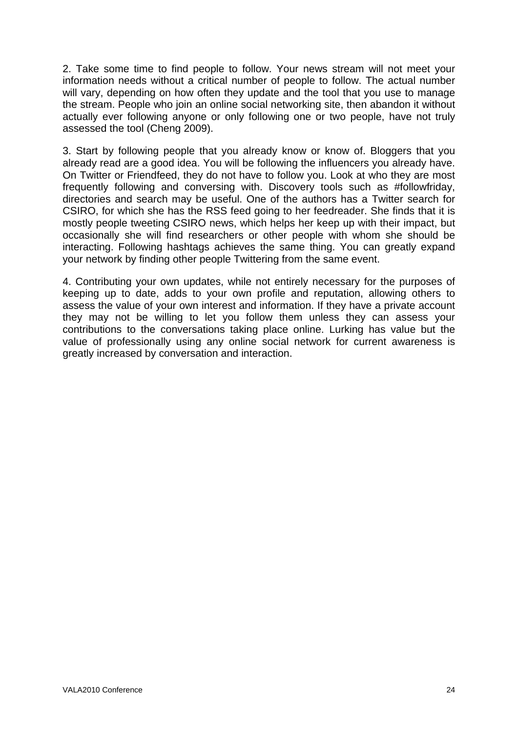2. Take some time to find people to follow. Your news stream will not meet your information needs without a critical number of people to follow. The actual number will vary, depending on how often they update and the tool that you use to manage the stream. People who join an online social networking site, then abandon it without actually ever following anyone or only following one or two people, have not truly assessed the tool (Cheng 2009).

3. Start by following people that you already know or know of. Bloggers that you already read are a good idea. You will be following the influencers you already have. On Twitter or Friendfeed, they do not have to follow you. Look at who they are most frequently following and conversing with. Discovery tools such as #followfriday, directories and search may be useful. One of the authors has a Twitter search for CSIRO, for which she has the RSS feed going to her feedreader. She finds that it is mostly people tweeting CSIRO news, which helps her keep up with their impact, but occasionally she will find researchers or other people with whom she should be interacting. Following hashtags achieves the same thing. You can greatly expand your network by finding other people Twittering from the same event.

4. Contributing your own updates, while not entirely necessary for the purposes of keeping up to date, adds to your own profile and reputation, allowing others to assess the value of your own interest and information. If they have a private account they may not be willing to let you follow them unless they can assess your contributions to the conversations taking place online. Lurking has value but the value of professionally using any online social network for current awareness is greatly increased by conversation and interaction.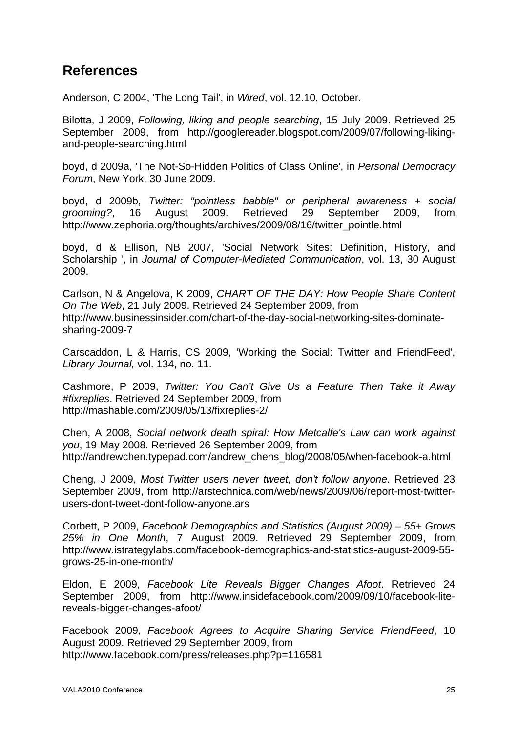# **References**

Anderson, C 2004, 'The Long Tail', in *Wired*, vol. 12.10, October.

Bilotta, J 2009, *Following, liking and people searching*, 15 July 2009. Retrieved 25 September 2009, from http://googlereader.blogspot.com/2009/07/following-likingand-people-searching.html

boyd, d 2009a, 'The Not-So-Hidden Politics of Class Online', in *Personal Democracy Forum*, New York, 30 June 2009.

boyd, d 2009b, *Twitter: "pointless babble" or peripheral awareness + social grooming?*, 16 August 2009. Retrieved 29 September 2009, from http://www.zephoria.org/thoughts/archives/2009/08/16/twitter\_pointle.html

boyd, d & Ellison, NB 2007, 'Social Network Sites: Definition, History, and Scholarship ', in *Journal of Computer-Mediated Communication*, vol. 13, 30 August 2009.

Carlson, N & Angelova, K 2009, *CHART OF THE DAY: How People Share Content On The Web*, 21 July 2009. Retrieved 24 September 2009, from http://www.businessinsider.com/chart-of-the-day-social-networking-sites-dominatesharing-2009-7

Carscaddon, L & Harris, CS 2009, 'Working the Social: Twitter and FriendFeed', *Library Journal,* vol. 134, no. 11.

Cashmore, P 2009, *Twitter: You Can't Give Us a Feature Then Take it Away #fixreplies*. Retrieved 24 September 2009, from http://mashable.com/2009/05/13/fixreplies-2/

Chen, A 2008, *Social network death spiral: How Metcalfe's Law can work against you*, 19 May 2008. Retrieved 26 September 2009, from http://andrewchen.typepad.com/andrew\_chens\_blog/2008/05/when-facebook-a.html

Cheng, J 2009, *Most Twitter users never tweet, don't follow anyone*. Retrieved 23 September 2009, from http://arstechnica.com/web/news/2009/06/report-most-twitterusers-dont-tweet-dont-follow-anyone.ars

Corbett, P 2009, *Facebook Demographics and Statistics (August 2009) – 55+ Grows 25% in One Month*, 7 August 2009. Retrieved 29 September 2009, from http://www.istrategylabs.com/facebook-demographics-and-statistics-august-2009-55 grows-25-in-one-month/

Eldon, E 2009, *Facebook Lite Reveals Bigger Changes Afoot*. Retrieved 24 September 2009, from http://www.insidefacebook.com/2009/09/10/facebook-litereveals-bigger-changes-afoot/

Facebook 2009, *Facebook Agrees to Acquire Sharing Service FriendFeed*, 10 August 2009. Retrieved 29 September 2009, from http://www.facebook.com/press/releases.php?p=116581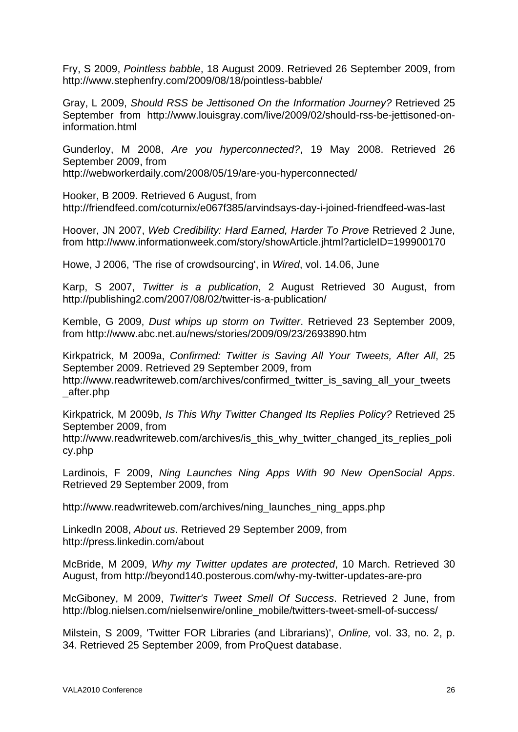Fry, S 2009, *Pointless babble*, 18 August 2009. Retrieved 26 September 2009, from http://www.stephenfry.com/2009/08/18/pointless-babble/

Gray, L 2009, *Should RSS be Jettisoned On the Information Journey?* Retrieved 25 September from http://www.louisgray.com/live/2009/02/should-rss-be-jettisoned-oninformation.html

Gunderloy, M 2008, *Are you hyperconnected?*, 19 May 2008. Retrieved 26 September 2009, from

http://webworkerdaily.com/2008/05/19/are-you-hyperconnected/

Hooker, B 2009. Retrieved 6 August, from http://friendfeed.com/coturnix/e067f385/arvindsays-day-i-joined-friendfeed-was-last

Hoover, JN 2007, *Web Credibility: Hard Earned, Harder To Prove* Retrieved 2 June, from http://www.informationweek.com/story/showArticle.jhtml?articleID=199900170

Howe, J 2006, 'The rise of crowdsourcing', in *Wired*, vol. 14.06, June

Karp, S 2007, *Twitter is a publication*, 2 August Retrieved 30 August, from http://publishing2.com/2007/08/02/twitter-is-a-publication/

Kemble, G 2009, *Dust whips up storm on Twitter*. Retrieved 23 September 2009, from http://www.abc.net.au/news/stories/2009/09/23/2693890.htm

Kirkpatrick, M 2009a, *Confirmed: Twitter is Saving All Your Tweets, After All*, 25 September 2009. Retrieved 29 September 2009, from

http://www.readwriteweb.com/archives/confirmed twitter is saving all your tweets \_after.php

Kirkpatrick, M 2009b, *Is This Why Twitter Changed Its Replies Policy?* Retrieved 25 September 2009, from

http://www.readwriteweb.com/archives/is\_this\_why\_twitter\_changed\_its\_replies\_poli cy.php

Lardinois, F 2009, *Ning Launches Ning Apps With 90 New OpenSocial Apps*. Retrieved 29 September 2009, from

http://www.readwriteweb.com/archives/ning\_launches\_ning\_apps.php

LinkedIn 2008, *About us*. Retrieved 29 September 2009, from http://press.linkedin.com/about

McBride, M 2009, *Why my Twitter updates are protected*, 10 March. Retrieved 30 August, from http://beyond140.posterous.com/why-my-twitter-updates-are-pro

McGiboney, M 2009, *Twitter's Tweet Smell Of Success*. Retrieved 2 June, from http://blog.nielsen.com/nielsenwire/online\_mobile/twitters-tweet-smell-of-success/

Milstein, S 2009, 'Twitter FOR Libraries (and Librarians)', *Online,* vol. 33, no. 2, p. 34. Retrieved 25 September 2009, from ProQuest database.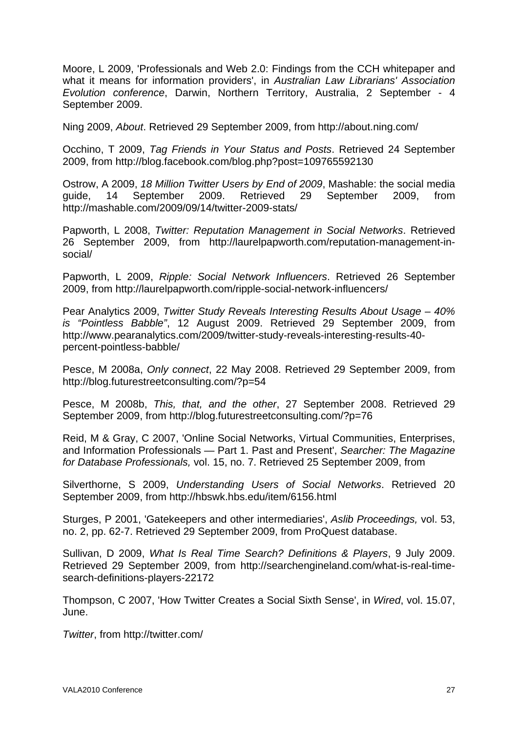Moore, L 2009, 'Professionals and Web 2.0: Findings from the CCH whitepaper and what it means for information providers', in *Australian Law Librarians' Association Evolution conference*, Darwin, Northern Territory, Australia, 2 September - 4 September 2009.

Ning 2009, *About*. Retrieved 29 September 2009, from http://about.ning.com/

Occhino, T 2009, *Tag Friends in Your Status and Posts*. Retrieved 24 September 2009, from http://blog.facebook.com/blog.php?post=109765592130

Ostrow, A 2009, *18 Million Twitter Users by End of 2009*, Mashable: the social media guide, 14 September 2009. Retrieved 29 September 2009, from http://mashable.com/2009/09/14/twitter-2009-stats/

Papworth, L 2008, *Twitter: Reputation Management in Social Networks*. Retrieved 26 September 2009, from http://laurelpapworth.com/reputation-management-insocial/

Papworth, L 2009, *Ripple: Social Network Influencers*. Retrieved 26 September 2009, from http://laurelpapworth.com/ripple-social-network-influencers/

Pear Analytics 2009, *Twitter Study Reveals Interesting Results About Usage – 40% is "Pointless Babble"*, 12 August 2009. Retrieved 29 September 2009, from http://www.pearanalytics.com/2009/twitter-study-reveals-interesting-results-40 percent-pointless-babble/

Pesce, M 2008a, *Only connect*, 22 May 2008. Retrieved 29 September 2009, from http://blog.futurestreetconsulting.com/?p=54

Pesce, M 2008b, *This, that, and the other*, 27 September 2008. Retrieved 29 September 2009, from http://blog.futurestreetconsulting.com/?p=76

Reid, M & Gray, C 2007, 'Online Social Networks, Virtual Communities, Enterprises, and Information Professionals — Part 1. Past and Present', *Searcher: The Magazine for Database Professionals,* vol. 15, no. 7. Retrieved 25 September 2009, from

Silverthorne, S 2009, *Understanding Users of Social Networks*. Retrieved 20 September 2009, from http://hbswk.hbs.edu/item/6156.html

Sturges, P 2001, 'Gatekeepers and other intermediaries', *Aslib Proceedings,* vol. 53, no. 2, pp. 62-7. Retrieved 29 September 2009, from ProQuest database.

Sullivan, D 2009, *What Is Real Time Search? Definitions & Players*, 9 July 2009. Retrieved 29 September 2009, from http://searchengineland.com/what-is-real-timesearch-definitions-players-22172

Thompson, C 2007, 'How Twitter Creates a Social Sixth Sense', in *Wired*, vol. 15.07, June.

*Twitter*, from http://twitter.com/